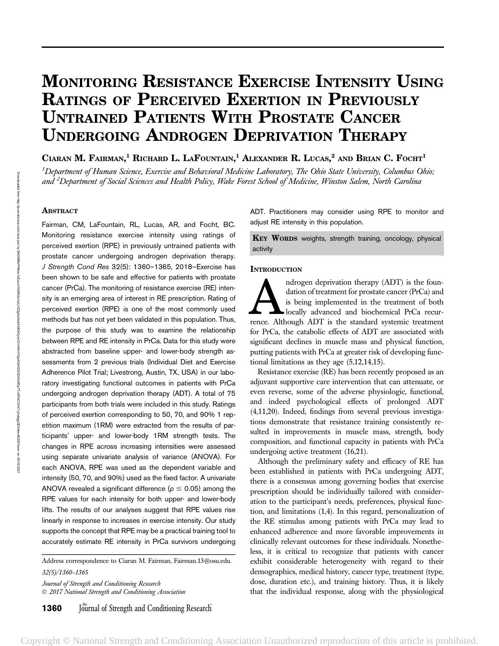# MONITORING RESISTANCE EXERCISE INTENSITY USING RATINGS OF PERCEIVED EXERTION IN PREVIOUSLY UNTRAINED PATIENTS WITH PROSTATE CANCER UNDERGOING ANDROGEN DEPRIVATION THERAPY

CIARAN M. FAIRMAN,<sup>1</sup> RICHARD L. LAFOUNTAIN,<sup>1</sup> ALEXANDER R. LUCAS,<sup>2</sup> and Brian C. Focht<sup>1</sup>

 $^1$ Department of Human Science, Exercise and Behavioral Medicine Laboratory, The Ohio State University, Columbus Ohio; and <sup>2</sup>Department of Social Sciences and Health Policy, Wake Forest School of Medicine, Winston Salem, North Carolina

# **ABSTRACT**

Fairman, CM, LaFountain, RL, Lucas, AR, and Focht, BC. Monitoring resistance exercise intensity using ratings of perceived exertion (RPE) in previously untrained patients with prostate cancer undergoing androgen deprivation therapy. J Strength Cond Res 32(5): 1360–1365, 2018—Exercise has been shown to be safe and effective for patients with prostate cancer (PrCa). The monitoring of resistance exercise (RE) intensity is an emerging area of interest in RE prescription. Rating of perceived exertion (RPE) is one of the most commonly used methods but has not yet been validated in this population. Thus, the purpose of this study was to examine the relationship between RPE and RE intensity in PrCa. Data for this study were abstracted from baseline upper- and lower-body strength assessments from 2 previous trials (Individual Diet and Exercise Adherence Pilot Trial; Livestrong, Austin, TX, USA) in our laboratory investigating functional outcomes in patients with PrCa undergoing androgen deprivation therapy (ADT). A total of 75 participants from both trials were included in this study. Ratings of perceived exertion corresponding to 50, 70, and 90% 1 repetition maximum (1RM) were extracted from the results of participants' upper- and lower-body 1RM strength tests. The changes in RPE across increasing intensities were assessed using separate univariate analysis of variance (ANOVA). For each ANOVA, RPE was used as the dependent variable and intensity (50, 70, and 90%) used as the fixed factor. A univariate ANOVA revealed a significant difference ( $p \le 0.05$ ) among the RPE values for each intensity for both upper- and lower-body lifts. The results of our analyses suggest that RPE values rise linearly in response to increases in exercise intensity. Our study supports the concept that RPE may be a practical training tool to accurately estimate RE intensity in PrCa survivors undergoing

Address correspondence to Ciaran M. Fairman, Fairman.13@osu.edu. 32(5)/1360–1365

Journal of Strength and Conditioning Research 2017 National Strength and Conditioning Association ADT. Practitioners may consider using RPE to monitor and adjust RE intensity in this population.

KEY WORDS weights, strength training, oncology, physical activity

# **INTRODUCTION**

Androgen deprivation therapy (ADT) is the foun-<br>dation of treatment for prostate cancer (PrCa) and<br>is being implemented in the treatment of both<br>locally advanced and biochemical PrCa recur-<br>rence. Although ADT is the stand dation of treatment for prostate cancer (PrCa) and is being implemented in the treatment of both locally advanced and biochemical PrCa recurfor PrCa, the catabolic effects of ADT are associated with significant declines in muscle mass and physical function, putting patients with PrCa at greater risk of developing functional limitations as they age (5,12,14,15).

Resistance exercise (RE) has been recently proposed as an adjuvant supportive care intervention that can attenuate, or even reverse, some of the adverse physiologic, functional, and indeed psychological effects of prolonged ADT (4,11,20). Indeed, findings from several previous investigations demonstrate that resistance training consistently resulted in improvements in muscle mass, strength, body composition, and functional capacity in patients with PrCa undergoing active treatment (16,21).

Although the preliminary safety and efficacy of RE has been established in patients with PrCa undergoing ADT, there is a consensus among governing bodies that exercise prescription should be individually tailored with consideration to the participant's needs, preferences, physical function, and limitations (1,4). In this regard, personalization of the RE stimulus among patients with PrCa may lead to enhanced adherence and more favorable improvements in clinically relevant outcomes for these individuals. Nonetheless, it is critical to recognize that patients with cancer exhibit considerable heterogeneity with regard to their demographics, medical history, cancer type, treatment (type, dose, duration etc.), and training history. Thus, it is likely that the individual response, along with the physiological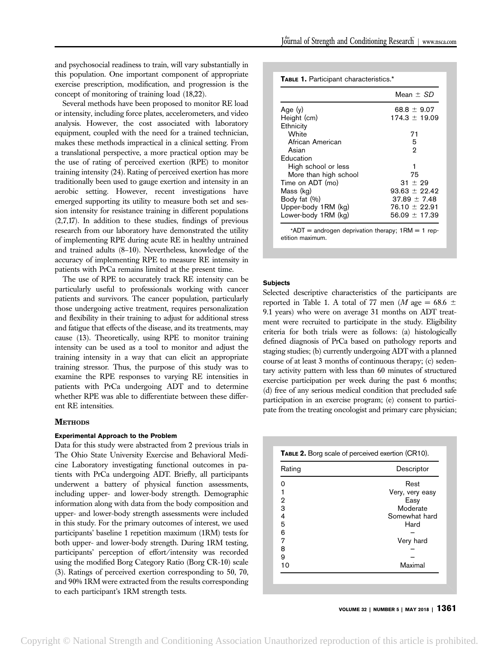and psychosocial readiness to train, will vary substantially in this population. One important component of appropriate exercise prescription, modification, and progression is the concept of monitoring of training load (18,22).

Several methods have been proposed to monitor RE load or intensity, including force plates, accelerometers, and video analysis. However, the cost associated with laboratory equipment, coupled with the need for a trained technician, makes these methods impractical in a clinical setting. From a translational perspective, a more practical option may be the use of rating of perceived exertion (RPE) to monitor training intensity (24). Rating of perceived exertion has more traditionally been used to gauge exertion and intensity in an aerobic setting. However, recent investigations have emerged supporting its utility to measure both set and session intensity for resistance training in different populations (2,7,17). In addition to these studies, findings of previous research from our laboratory have demonstrated the utility of implementing RPE during acute RE in healthy untrained and trained adults (8–10). Nevertheless, knowledge of the accuracy of implementing RPE to measure RE intensity in patients with PrCa remains limited at the present time.

The use of RPE to accurately track RE intensity can be particularly useful to professionals working with cancer patients and survivors. The cancer population, particularly those undergoing active treatment, requires personalization and flexibility in their training to adjust for additional stress and fatigue that effects of the disease, and its treatments, may cause (13). Theoretically, using RPE to monitor training intensity can be used as a tool to monitor and adjust the training intensity in a way that can elicit an appropriate training stressor. Thus, the purpose of this study was to examine the RPE responses to varying RE intensities in patients with PrCa undergoing ADT and to determine whether RPE was able to differentiate between these different RE intensities.

## **METHODS**

# Experimental Approach to the Problem

Data for this study were abstracted from 2 previous trials in The Ohio State University Exercise and Behavioral Medicine Laboratory investigating functional outcomes in patients with PrCa undergoing ADT. Briefly, all participants underwent a battery of physical function assessments, including upper- and lower-body strength. Demographic information along with data from the body composition and upper- and lower-body strength assessments were included in this study. For the primary outcomes of interest, we used participants' baseline 1 repetition maximum (1RM) tests for both upper- and lower-body strength. During 1RM testing, participants' perception of effort/intensity was recorded using the modified Borg Category Ratio (Borg CR-10) scale (3). Ratings of perceived exertion corresponding to 50, 70, and 90% 1RM were extracted from the results corresponding to each participant's 1RM strength tests.

|                       | Mean $\pm$ SD     |
|-----------------------|-------------------|
| Age $(y)$             | $68.8 \pm 9.07$   |
| Height (cm)           | $174.3 \pm 19.09$ |
| Ethnicity             |                   |
| White                 | 71                |
| African American      | 5                 |
| Asian                 | 2                 |
| Education             |                   |
| High school or less   | 1                 |
| More than high school | 75                |
| Time on ADT (mo)      | $31 + 29$         |
| Mass (kg)             | $93.63 \pm 22.42$ |
| Body fat (%)          | $37.89 \pm 7.48$  |
| Upper-body 1RM (kg)   | $76.10 \pm 22.91$ |
| Lower-body 1RM (kg)   | $56.09 \pm 17.39$ |

\*ADT = androgen deprivation therapy;  $1RM = 1$  repetition maximum.

#### **Subjects**

Selected descriptive characteristics of the participants are reported in Table 1. A total of 77 men (*M* age = 68.6  $\pm$ 9.1 years) who were on average 31 months on ADT treatment were recruited to participate in the study. Eligibility criteria for both trials were as follows: (a) histologically defined diagnosis of PrCa based on pathology reports and staging studies; (b) currently undergoing ADT with a planned course of at least 3 months of continuous therapy; (c) sedentary activity pattern with less than 60 minutes of structured exercise participation per week during the past 6 months; (d) free of any serious medical condition that precluded safe participation in an exercise program; (e) consent to participate from the treating oncologist and primary care physician;

| Rating | Descriptor      |
|--------|-----------------|
| ი      | Rest            |
| 1      | Very, very easy |
| 2      | Easy            |
| 3      | Moderate        |
| 4      | Somewhat hard   |
| 5      | Hard            |
| 6      |                 |
| 7      | Very hard       |
| 8      |                 |
| 9      |                 |
| 10     | Maximal         |

VOLUME 32 | NUMBER 5 | MAY 2018 | 1361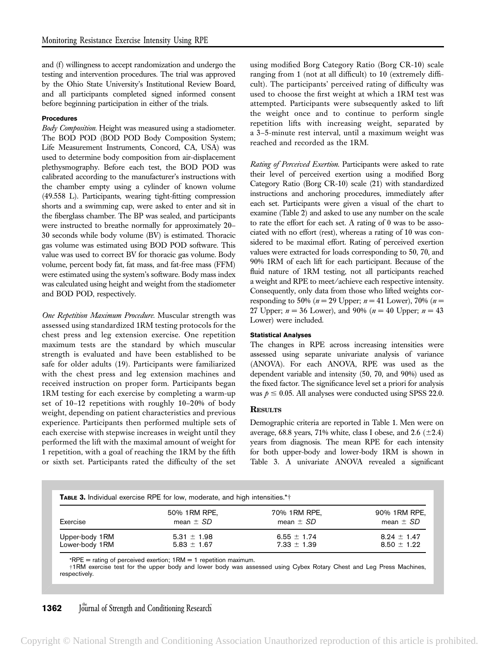and (f) willingness to accept randomization and undergo the testing and intervention procedures. The trial was approved by the Ohio State University's Institutional Review Board, and all participants completed signed informed consent before beginning participation in either of the trials.

#### Procedures

Body Composition. Height was measured using a stadiometer. The BOD POD (BOD POD Body Composition System; Life Measurement Instruments, Concord, CA, USA) was used to determine body composition from air-displacement plethysmography. Before each test, the BOD POD was calibrated according to the manufacturer's instructions with the chamber empty using a cylinder of known volume (49.558 L). Participants, wearing tight-fitting compression shorts and a swimming cap, were asked to enter and sit in the fiberglass chamber. The BP was sealed, and participants were instructed to breathe normally for approximately 20– 30 seconds while body volume (BV) is estimated. Thoracic gas volume was estimated using BOD POD software. This value was used to correct BV for thoracic gas volume. Body volume, percent body fat, fat mass, and fat-free mass (FFM) were estimated using the system's software. Body mass index was calculated using height and weight from the stadiometer and BOD POD, respectively.

One Repetition Maximum Procedure. Muscular strength was assessed using standardized 1RM testing protocols for the chest press and leg extension exercise. One repetition maximum tests are the standard by which muscular strength is evaluated and have been established to be safe for older adults (19). Participants were familiarized with the chest press and leg extension machines and received instruction on proper form. Participants began 1RM testing for each exercise by completing a warm-up set of 10–12 repetitions with roughly 10–20% of body weight, depending on patient characteristics and previous experience. Participants then performed multiple sets of each exercise with stepwise increases in weight until they performed the lift with the maximal amount of weight for 1 repetition, with a goal of reaching the 1RM by the fifth or sixth set. Participants rated the difficulty of the set

using modified Borg Category Ratio (Borg CR-10) scale ranging from 1 (not at all difficult) to 10 (extremely difficult). The participants' perceived rating of difficulty was used to choose the first weight at which a 1RM test was attempted. Participants were subsequently asked to lift the weight once and to continue to perform single repetition lifts with increasing weight, separated by a 3–5-minute rest interval, until a maximum weight was reached and recorded as the 1RM.

Rating of Perceived Exertion. Participants were asked to rate their level of perceived exertion using a modified Borg Category Ratio (Borg CR-10) scale (21) with standardized instructions and anchoring procedures, immediately after each set. Participants were given a visual of the chart to examine (Table 2) and asked to use any number on the scale to rate the effort for each set. A rating of 0 was to be associated with no effort (rest), whereas a rating of 10 was considered to be maximal effort. Rating of perceived exertion values were extracted for loads corresponding to 50, 70, and 90% 1RM of each lift for each participant. Because of the fluid nature of 1RM testing, not all participants reached a weight and RPE to meet/achieve each respective intensity. Consequently, only data from those who lifted weights corresponding to 50% ( $n = 29$  Upper;  $n = 41$  Lower), 70% ( $n =$ 27 Upper;  $n = 36$  Lower), and 90% ( $n = 40$  Upper;  $n = 43$ Lower) were included.

#### Statistical Analyses

The changes in RPE across increasing intensities were assessed using separate univariate analysis of variance (ANOVA). For each ANOVA, RPE was used as the dependent variable and intensity (50, 70, and 90%) used as the fixed factor. The significance level set a priori for analysis was  $p \leq 0.05$ . All analyses were conducted using SPSS 22.0.

## **RESULTS**

Demographic criteria are reported in Table 1. Men were on average, 68.8 years, 71% white, class I obese, and 2.6  $(\pm 2.4)$ years from diagnosis. The mean RPE for each intensity for both upper-body and lower-body 1RM is shown in Table 3. A univariate ANOVA revealed a significant

| <b>TABLE 3.</b> Individual exercise RPE for low, moderate, and high intensities.*+ |                 |                 |                 |  |  |
|------------------------------------------------------------------------------------|-----------------|-----------------|-----------------|--|--|
| Exercise                                                                           | 50% 1RM RPE,    | 70% 1RM RPE,    | 90% 1RM RPE,    |  |  |
|                                                                                    | mean $\pm$ SD   | mean $\pm$ SD   | mean $\pm$ SD   |  |  |
| Upper-body 1RM                                                                     | $5.31 \pm 1.98$ | $6.55 \pm 1.74$ | $8.24 \pm 1.47$ |  |  |
| Lower-body 1RM                                                                     | $5.83 \pm 1.67$ | $7.33 \pm 1.39$ | $8.50 \pm 1.22$ |  |  |

\*RPE = rating of perceived exertion;  $1RM = 1$  repetition maximum.

†1RM exercise test for the upper body and lower body was assessed using Cybex Rotary Chest and Leg Press Machines, respectively.

# **1362** Journal of Strength and Conditioning Research

Copyright © National Strength and Conditioning Association Unauthorized reproduction of this article is prohibited.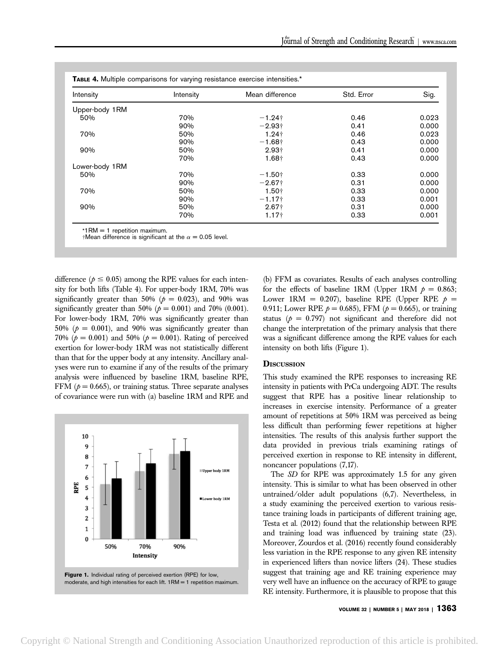| Intensity      | Intensity | Mean difference      | Std. Error | Sig.  |
|----------------|-----------|----------------------|------------|-------|
| Upper-body 1RM |           |                      |            |       |
| 50%            | 70%       | $-1.24\dagger$       | 0.46       | 0.023 |
|                | 90%       | $-2.93+$             | 0.41       | 0.000 |
| 70%            | 50%       | $1.24 +$             | 0.46       | 0.023 |
|                | 90%       | $-1.68\dagger$       | 0.43       | 0.000 |
| 90%            | 50%       | $2.93 +$             | 0.41       | 0.000 |
|                | 70%       | $1.68+$              | 0.43       | 0.000 |
| Lower-body 1RM |           |                      |            |       |
| 50%            | 70%       | $-1.50+$             | 0.33       | 0.000 |
|                | 90%       | $-2.67$ <sup>+</sup> | 0.31       | 0.000 |
| 70%            | 50%       | 1.50 <sub>†</sub>    | 0.33       | 0.000 |
|                | 90%       | $-1.17+$             | 0.33       | 0.001 |
| 90%            | 50%       | $2.67+$              | 0.31       | 0.000 |
|                | 70%       | 1.17†                | 0.33       | 0.001 |

\*1RM = 1 repetition maximum.<br>†Mean difference is significant at the  $\alpha$  = 0.05 level.

difference ( $p \leq 0.05$ ) among the RPE values for each intensity for both lifts (Table 4). For upper-body 1RM, 70% was significantly greater than 50% ( $p = 0.023$ ), and 90% was significantly greater than 50% ( $p = 0.001$ ) and 70% (0.001). For lower-body 1RM, 70% was significantly greater than 50% ( $p = 0.001$ ), and 90% was significantly greater than 70% ( $p = 0.001$ ) and 50% ( $p = 0.001$ ). Rating of perceived exertion for lower-body 1RM was not statistically different than that for the upper body at any intensity. Ancillary analyses were run to examine if any of the results of the primary analysis were influenced by baseline 1RM, baseline RPE, FFM ( $p = 0.665$ ), or training status. Three separate analyses of covariance were run with (a) baseline 1RM and RPE and



(b) FFM as covariates. Results of each analyses controlling for the effects of baseline 1RM (Upper 1RM  $p = 0.863$ ; Lower 1RM = 0.207), baseline RPE (Upper RPE  $p =$ 0.911; Lower RPE  $p = 0.685$ ), FFM ( $p = 0.665$ ), or training status ( $p = 0.797$ ) not significant and therefore did not change the interpretation of the primary analysis that there was a significant difference among the RPE values for each intensity on both lifts (Figure 1).

# **DISCUSSION**

This study examined the RPE responses to increasing RE intensity in patients with PrCa undergoing ADT. The results suggest that RPE has a positive linear relationship to increases in exercise intensity. Performance of a greater amount of repetitions at 50% 1RM was perceived as being less difficult than performing fewer repetitions at higher intensities. The results of this analysis further support the data provided in previous trials examining ratings of perceived exertion in response to RE intensity in different, noncancer populations (7,17).

The SD for RPE was approximately 1.5 for any given intensity. This is similar to what has been observed in other untrained/older adult populations (6,7). Nevertheless, in a study examining the perceived exertion to various resistance training loads in participants of different training age, Testa et al. (2012) found that the relationship between RPE and training load was influenced by training state (23). Moreover, Zourdos et al. (2016) recently found considerably less variation in the RPE response to any given RE intensity in experienced lifters than novice lifters (24). These studies suggest that training age and RE training experience may very well have an influence on the accuracy of RPE to gauge RE intensity. Furthermore, it is plausible to propose that this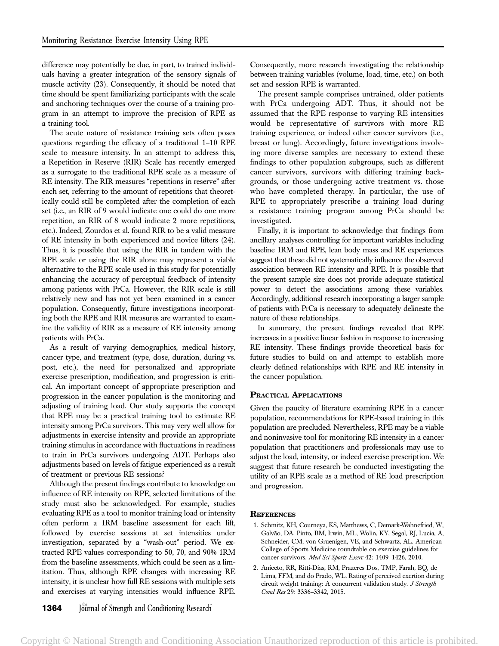difference may potentially be due, in part, to trained individuals having a greater integration of the sensory signals of muscle activity (23). Consequently, it should be noted that time should be spent familiarizing participants with the scale and anchoring techniques over the course of a training program in an attempt to improve the precision of RPE as a training tool.

The acute nature of resistance training sets often poses questions regarding the efficacy of a traditional 1–10 RPE scale to measure intensity. In an attempt to address this, a Repetition in Reserve (RIR) Scale has recently emerged as a surrogate to the traditional RPE scale as a measure of RE intensity. The RIR measures "repetitions in reserve" after each set, referring to the amount of repetitions that theoretically could still be completed after the completion of each set (i.e., an RIR of 9 would indicate one could do one more repetition, an RIR of 8 would indicate 2 more repetitions, etc.). Indeed, Zourdos et al. found RIR to be a valid measure of RE intensity in both experienced and novice lifters (24). Thus, it is possible that using the RIR in tandem with the RPE scale or using the RIR alone may represent a viable alternative to the RPE scale used in this study for potentially enhancing the accuracy of perceptual feedback of intensity among patients with PrCa. However, the RIR scale is still relatively new and has not yet been examined in a cancer population. Consequently, future investigations incorporating both the RPE and RIR measures are warranted to examine the validity of RIR as a measure of RE intensity among patients with PrCa.

As a result of varying demographics, medical history, cancer type, and treatment (type, dose, duration, during vs. post, etc.), the need for personalized and appropriate exercise prescription, modification, and progression is critical. An important concept of appropriate prescription and progression in the cancer population is the monitoring and adjusting of training load. Our study supports the concept that RPE may be a practical training tool to estimate RE intensity among PrCa survivors. This may very well allow for adjustments in exercise intensity and provide an appropriate training stimulus in accordance with fluctuations in readiness to train in PrCa survivors undergoing ADT. Perhaps also adjustments based on levels of fatigue experienced as a result of treatment or previous RE sessions?

Although the present findings contribute to knowledge on influence of RE intensity on RPE, selected limitations of the study must also be acknowledged. For example, studies evaluating RPE as a tool to monitor training load or intensity often perform a 1RM baseline assessment for each lift, followed by exercise sessions at set intensities under investigation, separated by a "wash-out" period. We extracted RPE values corresponding to 50, 70, and 90% 1RM from the baseline assessments, which could be seen as a limitation. Thus, although RPE changes with increasing RE intensity, it is unclear how full RE sessions with multiple sets and exercises at varying intensities would influence RPE.

**1364** Journal of Strength and Conditioning Research

Consequently, more research investigating the relationship between training variables (volume, load, time, etc.) on both set and session RPE is warranted.

The present sample comprises untrained, older patients with PrCa undergoing ADT. Thus, it should not be assumed that the RPE response to varying RE intensities would be representative of survivors with more RE training experience, or indeed other cancer survivors (i.e., breast or lung). Accordingly, future investigations involving more diverse samples are necessary to extend these findings to other population subgroups, such as different cancer survivors, survivors with differing training backgrounds, or those undergoing active treatment vs. those who have completed therapy. In particular, the use of RPE to appropriately prescribe a training load during a resistance training program among PrCa should be investigated.

Finally, it is important to acknowledge that findings from ancillary analyses controlling for important variables including baseline 1RM and RPE, lean body mass and RE experiences suggest that these did not systematically influence the observed association between RE intensity and RPE. It is possible that the present sample size does not provide adequate statistical power to detect the associations among these variables. Accordingly, additional research incorporating a larger sample of patients with PrCa is necessary to adequately delineate the nature of these relationships.

In summary, the present findings revealed that RPE increases in a positive linear fashion in response to increasing RE intensity. These findings provide theoretical basis for future studies to build on and attempt to establish more clearly defined relationships with RPE and RE intensity in the cancer population.

# PRACTICAL APPLICATIONS

Given the paucity of literature examining RPE in a cancer population, recommendations for RPE-based training in this population are precluded. Nevertheless, RPE may be a viable and noninvasive tool for monitoring RE intensity in a cancer population that practitioners and professionals may use to adjust the load, intensity, or indeed exercise prescription. We suggest that future research be conducted investigating the utility of an RPE scale as a method of RE load prescription and progression.

#### **REFERENCES**

- 1. Schmitz, KH, Courneya, KS, Matthews, C, Demark-Wahnefried, W, Galvão, DA, Pinto, BM, Irwin, ML, Wolin, KY, Segal, RJ, Lucia, A, Schneider, CM, von Gruenigen, VE, and Schwartz, AL. American College of Sports Medicine roundtable on exercise guidelines for cancer survivors. Med Sci Sports Exerc 42: 1409-1426, 2010.
- 2. Aniceto, RR, Ritti-Dias, RM, Prazeres Dos, TMP, Farah, BQ, de Lima, FFM, and do Prado, WL. Rating of perceived exertion during circuit weight training: A concurrent validation study. J Strength Cond Res 29: 3336–3342, 2015.